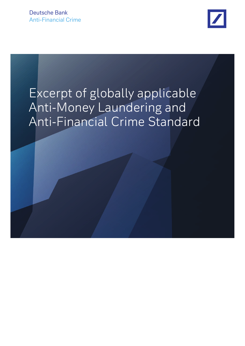

# Excerpt of globally applicable Anti-Money Laundering and Anti-Financial Crime Standard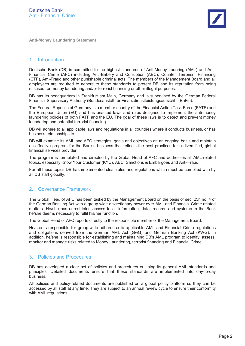

# 1. Introduction

Deutsche Bank (DB) is committed to the highest standards of Anti-Money Lauering (AML) and Anti-Financial Crime (AFC) including Anti-Bribery and Corruption (ABC), Counter Terrorism Financing (CTF), Anti-Fraud and other punishable criminal acts. The members of the Management Board and all employees are required to adhere to these standards to protect DB and its reputation from being misused for money laundering and/or terrorist financing or other illegal purposes.

DB has its headquarters in Frankfurt am Main, Germany and is supervised by the German Federal Financial Supervisory Authority (Bundesanstalt für Finanzdienstleistungsaufsicht – BaFin).

The Federal Republic of Germany is a member country of the Financial Action Task Force (FATF) and the European Union (EU) and has enacted laws and rules designed to implement the anti-money laundering policies of both FATF and the EU. The goal of these laws is to detect and prevent money laundering and potential terrorist financing.

DB will adhere to all applicable laws and regulations in all countries where it conducts business, or has business relationships to.

DB will examine its AML and AFC strategies, goals and objectives on an ongoing basis and maintain an effective program for the Bankís business that reflects the best practices for a diversified, global financial services provider.

The program is formulated and directed by the Global Head of AFC and addresses all AML-related topics, especially Know Your Customer (KYC), ABC, Sanctions & Embargoes and Anti-Fraud.

For all these topics DB has implemented clear rules and regulations which must be complied with by all DB staff globally.

#### 2. Governance Framework

The Global Head of AFC has been tasked by the Management Board on the basis of sec. 25h no. 4 of the German Banking Act with a group wide discretionary power over AML and Financial Crime related matters. He/she has unrestricted access to all information, data, records and systems in the Bank he/she deems necessary to fulfil his/her function.

The Global Head of AFC reports directly to the responsible member of the Management Board.

He/she is responsible for group-wide adherence to applicable AML and Financial Crime regulations and obligations derived from the German AML Act (GwG) and German Banking Act (KWG). In addition, he/she is responsible for establishing and maintaining DB's AML program to identify, assess, monitor and manage risks related to Money Laundering, terrorist financing and Financial Crime.

## 3. Policies and Procedures

DB has developed a clear set of policies and procedures outlining its general AML standards and principles. Detailed documents ensure that these standards are implemented into day-to-day business.

All policies and policy-related documents are published on a global policy platform so they can be accessed by all staff at any time. They are subject to an annual review cycle to ensure their conformity with AML regulations.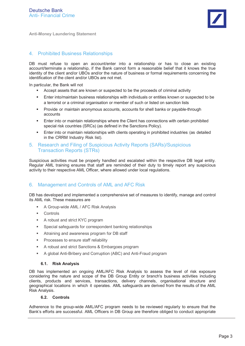

## 4. Prohibited Business Relationships

DB must refuse to open an account/enter into a relationship or has to close an existing account/terminate a relationship, if the Bank cannot form a reasonable belief that it knows the true identity of the client and/or UBOs and/or the nature of business or formal requirements concerning the identification of the client and/or UBOs are not met.

In particular, the Bank will not

- Accept assets that are known or suspected to be the proceeds of criminal activity
- Enter into/maintain business relationships with individuals or entities known or suspected to be a terrorist or a criminal organisation or member of such or listed on sanction lists
- Provide or maintain anonymous accounts, accounts for shell banks or payable-through accounts
- **Enter into or maintain relationships where the Client has connections with certain prohibited** special risk countries (SRCs) (as defined in the Sanctions Policy).
- **Enter into or maintain relationships with clients operating in prohibited industries (as detailed in Fig. 7** in the CRRM Industry Risk list).

## 5. Research and Filing of Suspicious Activity Reports (SARs)/Suspicious Transaction Reports (STRs)

Suspicious activities must be properly handled and escalated within the respective DB legal entity. Regular AML training ensures that staff are reminded of their duty to timely report any suspicious activity to their respective AML Officer, where allowed under local regulations.

# 6. Management and Controls of AML and AFC Risk

DB has developed and implemented a comprehensive set of measures to identify, manage and control its AML risk. These measures are

- A Group-wide AML / AFC Risk Analysis
- **E** Controls
- A robust and strict KYC program
- **Special safeguards for correspondent banking relationships**
- **EXECUTE:** Atraining and awareness program for DB staff
- Processes to ensure staff reliability
- A robust and strict Sanctions & Embargoes program
- A global Anti-Bribery and Corruption (ABC) and Anti-Fraud program

#### **6.1. Risk Analysis**

DB has implemented an ongoing AML/AFC Risk Analysis to assess the level of risk exposure considering the nature and scope of the DB Group Entity or branch's business activities including clients, products and services, transactions, delivery channels, organisational structure and geographical locations in which it operates. AML safeguards are derived from the results of the AML Risk Analysis.

#### **6.2. Controls**

Adherence to the group-wide AML/AFC program needs to be reviewed regularly to ensure that the Bankís efforts are successful. AML Officers in DB Group are therefore obliged to conduct appropriate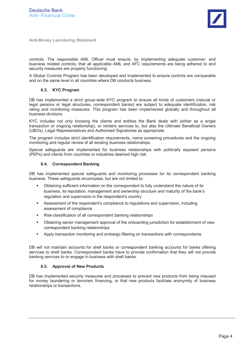

controls. The responsible AML Officer must ensure, by implementing adequate customer- and business related controls, that all applicable AML and AFC requirements are being adhered to and security measures are properly functioning.

A Global Controls Program has been developed and implemented to ensure controls are comparable and on the same level in all countries where DB conducts business.

#### **6.3. KYC Program**

DB has implemented a strict group-wide KYC program to ensure all kinds of customers (natural or legal persons or legal structures, correspondent banks) are subject to adequate identification, risk rating and monitoring measures. This program has been implemented globally and throughout all business divisions

KYC includes not only knowing the clients and entities the Bank deals with (either as a single transaction or ongoing relationship), or renders services to, but also the Ultimate Beneficial Owners (UBOs), Legal Representatives and Authorised Signatories as appropriate.

The program includes strict identification requirements, name screening procedures and the ongoing monitoring and regular review of all existing business relationships.

Special safeguards are implemented for business relationships with politically exposed persons (PEPs) and clients from countries or industries deemed high risk.

#### **6.4. Correspondent Banking**

DB has implemented special safeguards and monitoring processes for its correspondent banking business. These safeguards encompass, but are not limited to:

- Obtaining sufficient information on the correspondent to fully understand the nature of its business, its reputation, management and ownership structure and maturity of the bankís regulation and supervision in the respondent's country
- **Assessment of the respondent's compliance to regulations and supervision, including** assessment of compliance
- Risk-classification of all correspondent banking relationships
- Obtaining senior management approval of the onboarding jurisdiction for establishment of new correspondent banking relationships
- Apply transaction monitoring and embargo filtering on transactions with correspondents

DB will not maintain accounts for shell banks or correspondent banking accounts for banks offering services to shell banks. Correspondent banks have to provide confirmation that they will not provide banking services to or engage in business with shell banks.

#### **6.5. Approval of New Products**

DB has implemented security measures and processes to prevent new products from being misused for money laundering or terrorism financing, or that new products facilitate anonymity of business relationships or transactions.